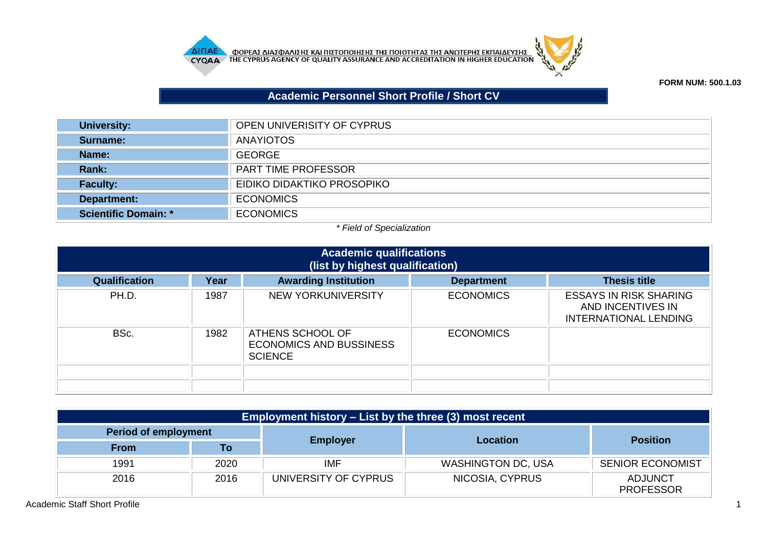



## **FORM NUM: 500.1.03**

## **Academic Personnel Short Profile / Short CV**

| University:                 | OPEN UNIVERISITY OF CYPRUS |
|-----------------------------|----------------------------|
| Surname:                    | <b>ANAYIOTOS</b>           |
| Name:                       | <b>GEORGE</b>              |
| Rank:                       | <b>PART TIME PROFESSOR</b> |
| <b>Faculty:</b>             | EIDIKO DIDAKTIKO PROSOPIKO |
| Department:                 | <b>ECONOMICS</b>           |
| <b>Scientific Domain: *</b> | <b>ECONOMICS</b>           |

## *\* Field of Specialization*

| <b>Academic qualifications</b><br>(list by highest qualification) |      |                                                                      |                   |                                                                                    |  |
|-------------------------------------------------------------------|------|----------------------------------------------------------------------|-------------------|------------------------------------------------------------------------------------|--|
| <b>Qualification</b>                                              | Year | <b>Awarding Institution</b>                                          | <b>Department</b> | <b>Thesis title</b>                                                                |  |
| PH.D.                                                             | 1987 | NEW YORKUNIVERSITY                                                   | <b>ECONOMICS</b>  | <b>ESSAYS IN RISK SHARING</b><br>AND INCENTIVES IN<br><b>INTERNATIONAL LENDING</b> |  |
| BSc.                                                              | 1982 | ATHENS SCHOOL OF<br><b>ECONOMICS AND BUSSINESS</b><br><b>SCIENCE</b> | <b>ECONOMICS</b>  |                                                                                    |  |
|                                                                   |      |                                                                      |                   |                                                                                    |  |
|                                                                   |      |                                                                      |                   |                                                                                    |  |

| Employment history $-$ List by the three (3) most recent |      |                      |                           |                                    |  |
|----------------------------------------------------------|------|----------------------|---------------------------|------------------------------------|--|
| <b>Period of employment</b>                              |      |                      | Location                  |                                    |  |
| <b>From</b>                                              | Τо   | <b>Employer</b>      |                           | <b>Position</b>                    |  |
| 1991                                                     | 2020 | IMF                  | <b>WASHINGTON DC, USA</b> | <b>SENIOR ECONOMIST</b>            |  |
| 2016                                                     | 2016 | UNIVERSITY OF CYPRUS | NICOSIA, CYPRUS           | <b>ADJUNCT</b><br><b>PROFESSOR</b> |  |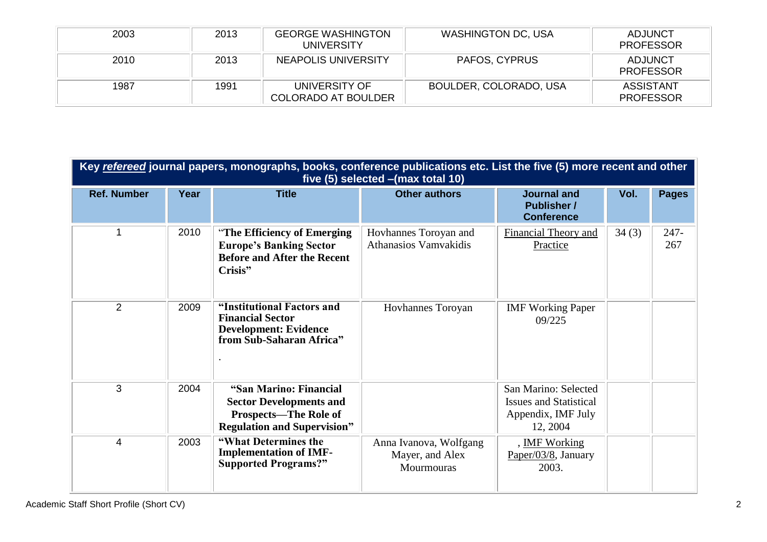| 2003 | 2013 | <b>GEORGE WASHINGTON</b><br>UNIVERSITY      | <b>WASHINGTON DC, USA</b>     | <b>ADJUNCT</b><br><b>PROFESSOR</b>   |
|------|------|---------------------------------------------|-------------------------------|--------------------------------------|
| 2010 | 2013 | NEAPOLIS UNIVERSITY                         | PAFOS, CYPRUS                 | ADJUNCT<br><b>PROFESSOR</b>          |
| 1987 | 1991 | UNIVERSITY OF<br><b>COLORADO AT BOULDER</b> | <b>BOULDER, COLORADO, USA</b> | <b>ASSISTANT</b><br><b>PROFESSOR</b> |

| Key refereed journal papers, monographs, books, conference publications etc. List the five (5) more recent and other<br>five (5) selected - (max total 10) |      |                                                                                                                                |                                                         |                                                                                         |       |                |
|------------------------------------------------------------------------------------------------------------------------------------------------------------|------|--------------------------------------------------------------------------------------------------------------------------------|---------------------------------------------------------|-----------------------------------------------------------------------------------------|-------|----------------|
| <b>Ref. Number</b>                                                                                                                                         | Year | <b>Title</b>                                                                                                                   | <b>Other authors</b>                                    | <b>Journal and</b><br><b>Publisher /</b><br><b>Conference</b>                           | Vol.  | <b>Pages</b>   |
|                                                                                                                                                            | 2010 | "The Efficiency of Emerging<br><b>Europe's Banking Sector</b><br><b>Before and After the Recent</b><br>Crisis"                 | Hovhannes Toroyan and<br>Athanasios Vamvakidis          | <b>Financial Theory and</b><br>Practice                                                 | 34(3) | $247 -$<br>267 |
| $\overline{2}$                                                                                                                                             | 2009 | "Institutional Factors and<br><b>Financial Sector</b><br><b>Development: Evidence</b><br>from Sub-Saharan Africa"              | Hovhannes Toroyan                                       | <b>IMF Working Paper</b><br>09/225                                                      |       |                |
| 3                                                                                                                                                          | 2004 | "San Marino: Financial<br><b>Sector Developments and</b><br><b>Prospects—The Role of</b><br><b>Regulation and Supervision"</b> |                                                         | San Marino: Selected<br><b>Issues and Statistical</b><br>Appendix, IMF July<br>12, 2004 |       |                |
| 4                                                                                                                                                          | 2003 | "What Determines the<br><b>Implementation of IMF-</b><br><b>Supported Programs?"</b>                                           | Anna Ivanova, Wolfgang<br>Mayer, and Alex<br>Mourmouras | , IMF Working<br>Paper/03/8, January<br>2003.                                           |       |                |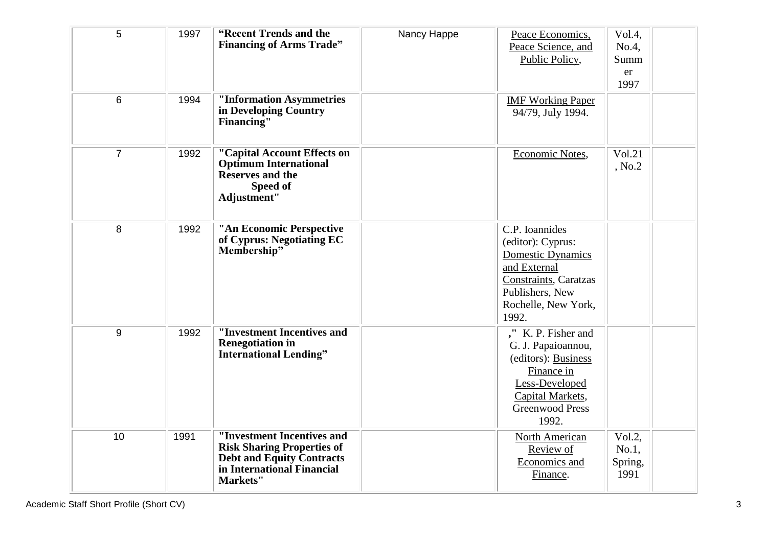| 5              | 1997 | "Recent Trends and the<br><b>Financing of Arms Trade"</b>                                                                                     | Nancy Happe | Peace Economics,<br>Peace Science, and<br>Public Policy,                                                                                                    | Vol.4,<br>No.4,<br>Summ<br>er<br>1997 |  |
|----------------|------|-----------------------------------------------------------------------------------------------------------------------------------------------|-------------|-------------------------------------------------------------------------------------------------------------------------------------------------------------|---------------------------------------|--|
| 6              | 1994 | "Information Asymmetries<br>in Developing Country<br>Financing"                                                                               |             | <b>IMF Working Paper</b><br>94/79, July 1994.                                                                                                               |                                       |  |
| $\overline{7}$ | 1992 | "Capital Account Effects on<br><b>Optimum International</b><br>Reserves and the<br>Speed of<br>Adjustment"                                    |             | Economic Notes,                                                                                                                                             | Vol.21<br>, No.2                      |  |
| 8              | 1992 | "An Economic Perspective<br>of Cyprus: Negotiating EC<br>Membership"                                                                          |             | C.P. Ioannides<br>(editor): Cyprus:<br><b>Domestic Dynamics</b><br>and External<br>Constraints, Caratzas<br>Publishers, New<br>Rochelle, New York,<br>1992. |                                       |  |
| 9              | 1992 | "Investment Incentives and<br><b>Renegotiation in</b><br><b>International Lending"</b>                                                        |             | ," K. P. Fisher and<br>G. J. Papaioannou,<br>(editors): Business<br>Finance in<br>Less-Developed<br>Capital Markets,<br><b>Greenwood Press</b><br>1992.     |                                       |  |
| 10             | 1991 | "Investment Incentives and<br><b>Risk Sharing Properties of</b><br><b>Debt and Equity Contracts</b><br>in International Financial<br>Markets" |             | <b>North American</b><br>Review of<br>Economics and<br>Finance.                                                                                             | Vol.2,<br>No.1,<br>Spring,<br>1991    |  |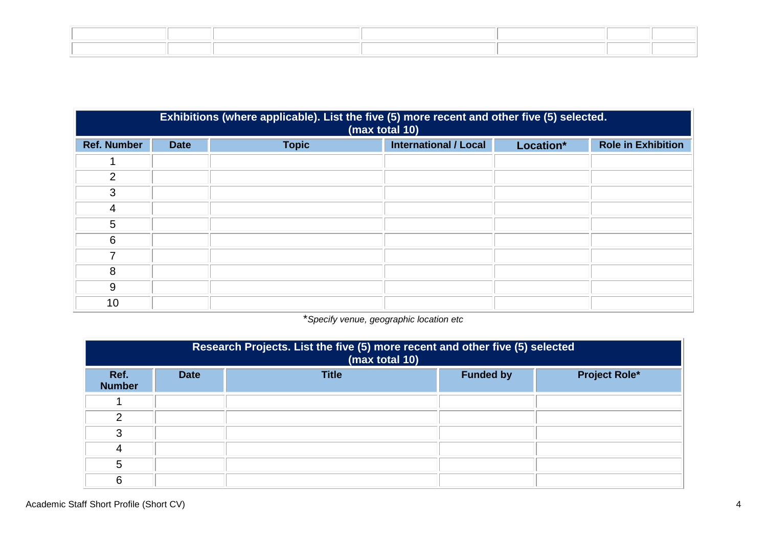|                    | Exhibitions (where applicable). List the five (5) more recent and other five (5) selected.<br>(max total 10) |              |                              |           |                           |  |
|--------------------|--------------------------------------------------------------------------------------------------------------|--------------|------------------------------|-----------|---------------------------|--|
| <b>Ref. Number</b> | <b>Date</b>                                                                                                  | <b>Topic</b> | <b>International / Local</b> | Location* | <b>Role in Exhibition</b> |  |
|                    |                                                                                                              |              |                              |           |                           |  |
| 2                  |                                                                                                              |              |                              |           |                           |  |
| 3                  |                                                                                                              |              |                              |           |                           |  |
| $\overline{4}$     |                                                                                                              |              |                              |           |                           |  |
| 5                  |                                                                                                              |              |                              |           |                           |  |
| 6                  |                                                                                                              |              |                              |           |                           |  |
|                    |                                                                                                              |              |                              |           |                           |  |
| 8                  |                                                                                                              |              |                              |           |                           |  |
| 9                  |                                                                                                              |              |                              |           |                           |  |
| 10                 |                                                                                                              |              |                              |           |                           |  |

\**Specify venue, geographic location etc*

|                       | Research Projects. List the five (5) more recent and other five (5) selected<br>(max total 10) |              |                  |                      |  |  |
|-----------------------|------------------------------------------------------------------------------------------------|--------------|------------------|----------------------|--|--|
| Ref.<br><b>Number</b> | <b>Date</b>                                                                                    | <b>Title</b> | <b>Funded by</b> | <b>Project Role*</b> |  |  |
|                       |                                                                                                |              |                  |                      |  |  |
| ◠                     |                                                                                                |              |                  |                      |  |  |
| 3                     |                                                                                                |              |                  |                      |  |  |
| 4                     |                                                                                                |              |                  |                      |  |  |
| 5                     |                                                                                                |              |                  |                      |  |  |
| 6                     |                                                                                                |              |                  |                      |  |  |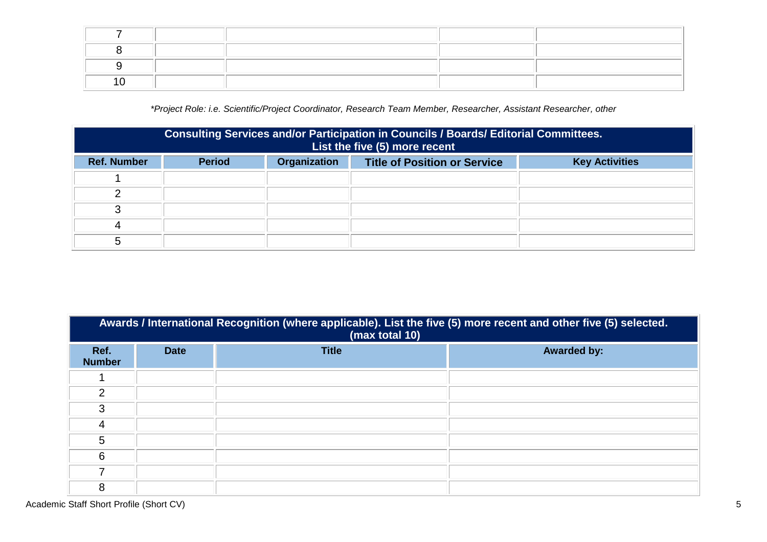*\*Project Role: i.e. Scientific/Project Coordinator, Research Team Member, Researcher, Assistant Researcher, other*

| Consulting Services and/or Participation in Councils / Boards/ Editorial Committees.<br>List the five (5) more recent |               |                     |                                     |                       |
|-----------------------------------------------------------------------------------------------------------------------|---------------|---------------------|-------------------------------------|-----------------------|
| <b>Ref. Number</b>                                                                                                    | <b>Period</b> | <b>Organization</b> | <b>Title of Position or Service</b> | <b>Key Activities</b> |
|                                                                                                                       |               |                     |                                     |                       |
|                                                                                                                       |               |                     |                                     |                       |
|                                                                                                                       |               |                     |                                     |                       |
|                                                                                                                       |               |                     |                                     |                       |
|                                                                                                                       |               |                     |                                     |                       |

| Awards / International Recognition (where applicable). List the five (5) more recent and other five (5) selected.<br>(max total 10) |             |              |                    |  |
|-------------------------------------------------------------------------------------------------------------------------------------|-------------|--------------|--------------------|--|
| Ref.<br><b>Number</b>                                                                                                               | <b>Date</b> | <b>Title</b> | <b>Awarded by:</b> |  |
|                                                                                                                                     |             |              |                    |  |
| 2                                                                                                                                   |             |              |                    |  |
| 3                                                                                                                                   |             |              |                    |  |
| 4                                                                                                                                   |             |              |                    |  |
| 5                                                                                                                                   |             |              |                    |  |
| 6                                                                                                                                   |             |              |                    |  |
| 7                                                                                                                                   |             |              |                    |  |
| 8                                                                                                                                   |             |              |                    |  |